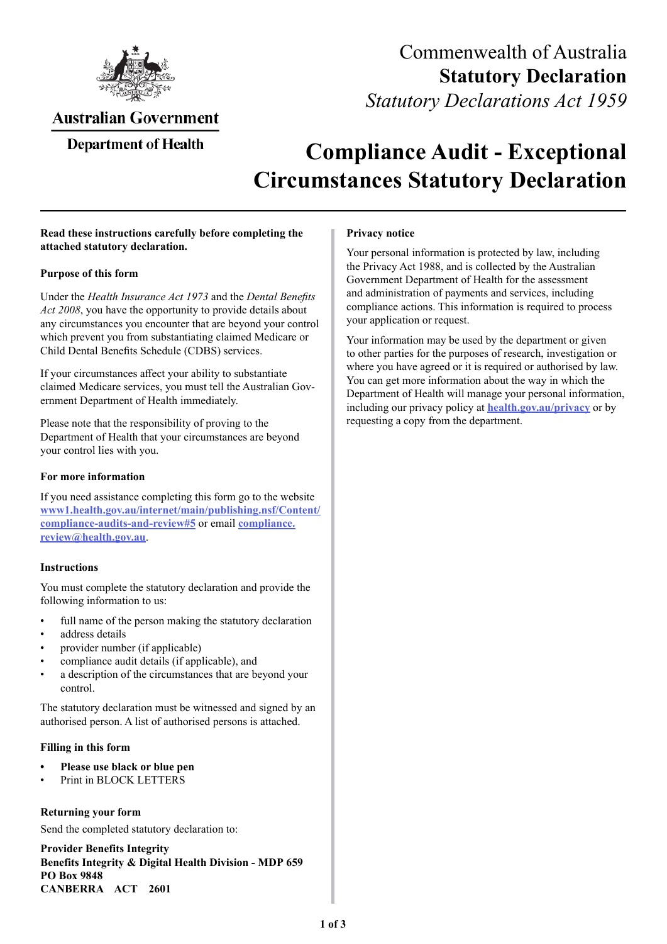

# Commenwealth of Australia **Statutory Declaration**  *Statutory Declarations Act 1959*

## Australian Government

### Department of Health

# **Compliance Audit - Exceptional Circumstances Statutory Declaration**

#### **Read these instructions carefully before completing the attached statutory declaration.**

#### **Purpose of this form**

Under the *Health Insurance Act 1973* and the *Dental Benefits Act 2008*, you have the opportunity to provide details about any circumstances you encounter that are beyond your control which prevent you from substantiating claimed Medicare or Child Dental Benefits Schedule (CDBS) services.

If your circumstances affect your ability to substantiate claimed Medicare services, you must tell the Australian Government Department of Health immediately.

Please note that the responsibility of proving to the Department of Health that your circumstances are beyond your control lies with you.

#### **For more information**

If you need assistance completing this form go to the website **[www1.health.gov.au/internet/main/publishing.nsf/Content/](http://www1.health.gov.au/internet/main/publishing.nsf/Content/compliance-audits-and-review#5) [compliance-audits-and-review#5](http://www1.health.gov.au/internet/main/publishing.nsf/Content/compliance-audits-and-review#5)** or email **[compliance.](mailto:compliance.review%40health.gov.au?subject=)  [review@health.gov.au](mailto:compliance.review%40health.gov.au?subject=)**.

#### **Instructions**

You must complete the statutory declaration and provide the following information to us:

- full name of the person making the statutory declaration
- address details
- provider number (if applicable)
- compliance audit details (if applicable), and
- a description of the circumstances that are beyond your control.

The statutory declaration must be witnessed and signed by an authorised person. A list of authorised persons is attached.

#### **Filling in this form**

- **Please use black or blue pen**
- Print in BLOCK LETTERS

#### **Returning your form**

Send the completed statutory declaration to:

 **CANBERRA ACT 2601 Provider Benefits Integrity Benefits Integrity & Digital Health Division - MDP 659 PO Box 9848** 

#### **Privacy notice**

Your personal information is protected by law, including the Privacy Act 1988, and is collected by the Australian Government Department of Health for the assessment and administration of payments and services, including compliance actions. This information is required to process your application or request.

Your information may be used by the department or given to other parties for the purposes of research, investigation or where you have agreed or it is required or authorised by law. You can get more information about the way in which the Department of Health will manage your personal information, including our privacy policy at **[health.gov.au/privacy](mailto:health.gov.au/privacy?subject=)** or by requesting a copy from the department.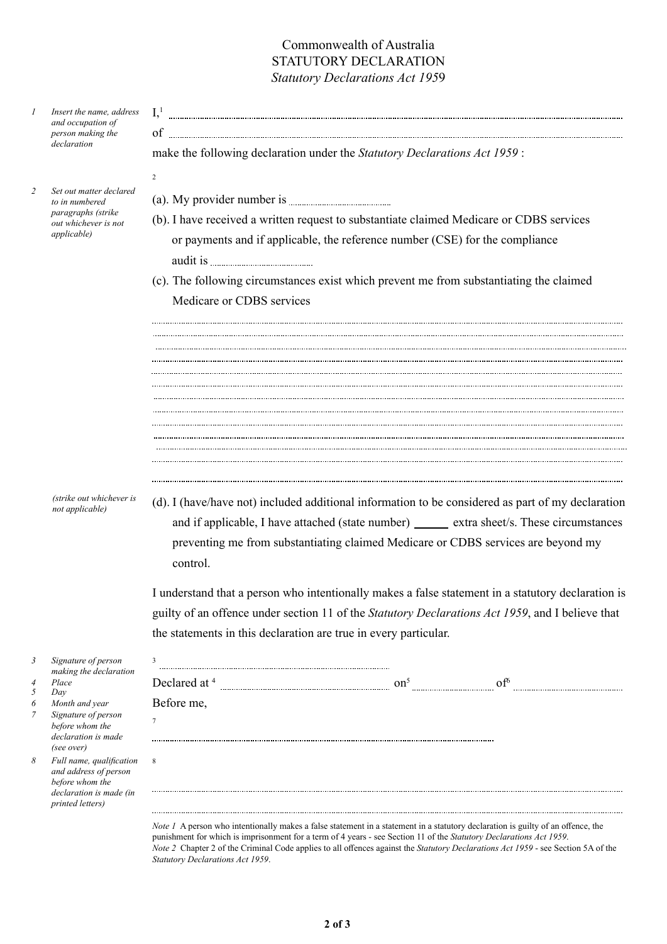### Commonwealth of Australia STATUTORY DECLARATION *Statutory Declarations Act 195*9

| Insert the name, address<br>and occupation of<br>person making the<br>declaration                                                                                                                                                                                                            | I <sup>1</sup><br>of<br>make the following declaration under the Statutory Declarations Act 1959:                           |                                                                                                                                                                                                                                                                                                                                                                                                                                                                                                                                                                                                                                                                                                                                                                                                                                                                                                                                                   |
|----------------------------------------------------------------------------------------------------------------------------------------------------------------------------------------------------------------------------------------------------------------------------------------------|-----------------------------------------------------------------------------------------------------------------------------|---------------------------------------------------------------------------------------------------------------------------------------------------------------------------------------------------------------------------------------------------------------------------------------------------------------------------------------------------------------------------------------------------------------------------------------------------------------------------------------------------------------------------------------------------------------------------------------------------------------------------------------------------------------------------------------------------------------------------------------------------------------------------------------------------------------------------------------------------------------------------------------------------------------------------------------------------|
| Set out matter declared<br>to in numbered<br><i>paragraphs (strike</i><br>out whichever is not<br><i>applicable</i> )                                                                                                                                                                        | $\overline{c}$<br>or payments and if applicable, the reference number (CSE) for the compliance<br>Medicare or CDBS services |                                                                                                                                                                                                                                                                                                                                                                                                                                                                                                                                                                                                                                                                                                                                                                                                                                                                                                                                                   |
| (strike out whichever is<br>not applicable)                                                                                                                                                                                                                                                  | control.<br>the statements in this declaration are true in every particular.                                                |                                                                                                                                                                                                                                                                                                                                                                                                                                                                                                                                                                                                                                                                                                                                                                                                                                                                                                                                                   |
| Signature of person<br>making the declaration<br>Place<br>Day<br>Month and year<br>Signature of person<br>before whom the<br>declaration is made<br>(see over)<br>Full name, qualification<br>and address of person<br>before whom the<br>declaration is made (in<br><i>printed letters)</i> | 3<br>Before me,<br>$7\phantom{.0}$<br>8                                                                                     |                                                                                                                                                                                                                                                                                                                                                                                                                                                                                                                                                                                                                                                                                                                                                                                                                                                                                                                                                   |
|                                                                                                                                                                                                                                                                                              |                                                                                                                             | (b). I have received a written request to substantiate claimed Medicare or CDBS services<br>(c). The following circumstances exist which prevent me from substantiating the claimed<br>(d). I (have/have not) included additional information to be considered as part of my declaration<br>and if applicable, I have attached (state number) ______ extra sheet/s. These circumstances<br>preventing me from substantiating claimed Medicare or CDBS services are beyond my<br>I understand that a person who intentionally makes a false statement in a statutory declaration is<br>guilty of an offence under section 11 of the Statutory Declarations Act 1959, and I believe that<br>Note 1 A person who intentionally makes a false statement in a statement in a statutory declaration is guilty of an offence, the<br>punishment for which is imprisonment for a term of 4 years - see Section 11 of the Statutory Declarations Act 1959. |

*Statutory Declarations Act 1959*.

*Note 2* Chapter 2 of the Criminal Code applies to all offences against the *Statutory Declarations Act 1959* - see Section 5A of the